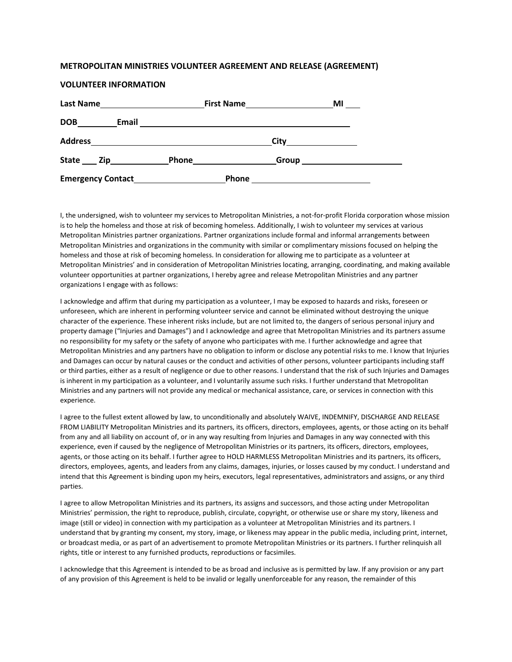## **METROPOLITAN MINISTRIES VOLUNTEER AGREEMENT AND RELEASE (AGREEMENT)**

## **VOLUNTEER INFORMATION**

| <b>Last Name</b><br><u> 1980 - Jan Stein Stein Stein Stein Stein Stein Stein Stein Stein Stein Stein Stein Stein Stein Stein Stein S</u> | First Name |                                                                                                                       | MI |
|------------------------------------------------------------------------------------------------------------------------------------------|------------|-----------------------------------------------------------------------------------------------------------------------|----|
| DOB<br>Email                                                                                                                             |            | <u> 1980 - Jan James James, martin de la populación de la propia de la populación de la propia de la populación d</u> |    |
| <b>Address</b>                                                                                                                           |            |                                                                                                                       |    |
| State ____ Zip______________                                                                                                             |            | Phone <u>_________</u>                                                                                                |    |
| Emergency Contact<br><u>Land Contact</u>                                                                                                 |            | <b>Phone</b>                                                                                                          |    |

I, the undersigned, wish to volunteer my services to Metropolitan Ministries, a not-for-profit Florida corporation whose mission is to help the homeless and those at risk of becoming homeless. Additionally, I wish to volunteer my services at various Metropolitan Ministries partner organizations. Partner organizations include formal and informal arrangements between Metropolitan Ministries and organizations in the community with similar or complimentary missions focused on helping the homeless and those at risk of becoming homeless. In consideration for allowing me to participate as a volunteer at Metropolitan Ministries' and in consideration of Metropolitan Ministries locating, arranging, coordinating, and making available volunteer opportunities at partner organizations, I hereby agree and release Metropolitan Ministries and any partner organizations I engage with as follows:

I acknowledge and affirm that during my participation as a volunteer, I may be exposed to hazards and risks, foreseen or unforeseen, which are inherent in performing volunteer service and cannot be eliminated without destroying the unique character of the experience. These inherent risks include, but are not limited to, the dangers of serious personal injury and property damage ("Injuries and Damages") and I acknowledge and agree that Metropolitan Ministries and its partners assume no responsibility for my safety or the safety of anyone who participates with me. I further acknowledge and agree that Metropolitan Ministries and any partners have no obligation to inform or disclose any potential risks to me. I know that Injuries and Damages can occur by natural causes or the conduct and activities of other persons, volunteer participants including staff or third parties, either as a result of negligence or due to other reasons. I understand that the risk of such Injuries and Damages is inherent in my participation as a volunteer, and I voluntarily assume such risks. I further understand that Metropolitan Ministries and any partners will not provide any medical or mechanical assistance, care, or services in connection with this experience.

I agree to the fullest extent allowed by law, to unconditionally and absolutely WAIVE, INDEMNIFY, DISCHARGE AND RELEASE FROM LIABILITY Metropolitan Ministries and its partners, its officers, directors, employees, agents, or those acting on its behalf from any and all liability on account of, or in any way resulting from Injuries and Damages in any way connected with this experience, even if caused by the negligence of Metropolitan Ministries or its partners, its officers, directors, employees, agents, or those acting on its behalf. I further agree to HOLD HARMLESS Metropolitan Ministries and its partners, its officers, directors, employees, agents, and leaders from any claims, damages, injuries, or losses caused by my conduct. I understand and intend that this Agreement is binding upon my heirs, executors, legal representatives, administrators and assigns, or any third parties.

I agree to allow Metropolitan Ministries and its partners, its assigns and successors, and those acting under Metropolitan Ministries' permission, the right to reproduce, publish, circulate, copyright, or otherwise use or share my story, likeness and image (still or video) in connection with my participation as a volunteer at Metropolitan Ministries and its partners. I understand that by granting my consent, my story, image, or likeness may appear in the public media, including print, internet, or broadcast media, or as part of an advertisement to promote Metropolitan Ministries or its partners. I further relinquish all rights, title or interest to any furnished products, reproductions or facsimiles.

I acknowledge that this Agreement is intended to be as broad and inclusive as is permitted by law. If any provision or any part of any provision of this Agreement is held to be invalid or legally unenforceable for any reason, the remainder of this